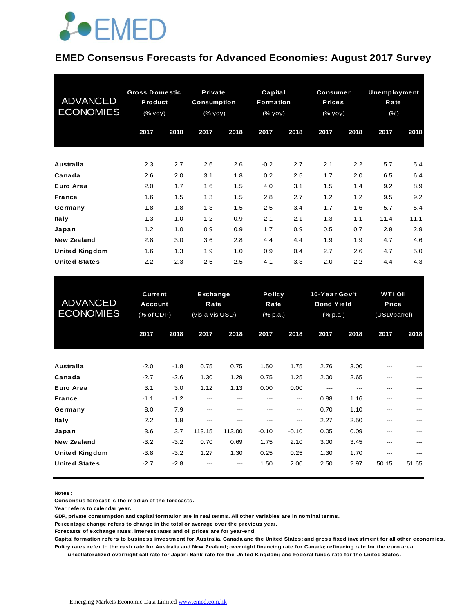

#### **EMED Consensus Forecasts for Advanced Economies: August 2017 Survey**

| <b>ADVANCED</b><br><b>ECONOMIES</b> | <b>Gross Domestic</b><br>Product<br>(% yoy) |      |      |         | Private<br><b>Consumption</b><br>(% yoy) |      | Capital<br><b>Formation</b><br>(% yoy) |      | <b>Consumer</b><br><b>Prices</b><br>(% yoy) |      | Unemployment<br>Rate<br>$(\% )$ |  |
|-------------------------------------|---------------------------------------------|------|------|---------|------------------------------------------|------|----------------------------------------|------|---------------------------------------------|------|---------------------------------|--|
|                                     | 2017                                        | 2018 | 2017 | 2018    | 2017                                     | 2018 | 2017                                   | 2018 | 2017                                        | 2018 |                                 |  |
| <b>Australia</b>                    | 2.3                                         | 2.7  | 2.6  | 2.6     | $-0.2$                                   | 2.7  | 2.1                                    | 2.2  | 5.7                                         | 5.4  |                                 |  |
| Canada                              | 2.6                                         | 2.0  | 3.1  | 1.8     | 0.2                                      | 2.5  | 1.7                                    | 2.0  | 6.5                                         | 6.4  |                                 |  |
| Euro Area                           | 2.0                                         | 1.7  | 1.6  | 1.5     | 4.0                                      | 3.1  | 1.5                                    | 1.4  | 9.2                                         | 8.9  |                                 |  |
| France                              | 1.6                                         | 1.5  | 1.3  | 1.5     | 2.8                                      | 2.7  | 1.2                                    | 1.2  | 9.5                                         | 9.2  |                                 |  |
| Germany                             | 1.8                                         | 1.8  | 1.3  | 1.5     | 2.5                                      | 3.4  | 1.7                                    | 1.6  | 5.7                                         | 5.4  |                                 |  |
| <b>Italy</b>                        | 1.3                                         | 1.0  | 1.2  | 0.9     | 2.1                                      | 2.1  | 1.3                                    | 1.1  | 11.4                                        | 11.1 |                                 |  |
| Japan                               | 1.2                                         | 1.0  | 0.9  | 0.9     | 1.7                                      | 0.9  | 0.5                                    | 0.7  | 2.9                                         | 2.9  |                                 |  |
| <b>New Zealand</b>                  | 2.8                                         | 3.0  | 3.6  | 2.8     | 4.4                                      | 4.4  | 1.9                                    | 1.9  | 4.7                                         | 4.6  |                                 |  |
| <b>United Kingdom</b>               | 1.6                                         | 1.3  | 1.9  | 1.0     | 0.9                                      | 0.4  | 2.7                                    | 2.6  | 4.7                                         | 5.0  |                                 |  |
| <b>United States</b>                | 2.2                                         | 2.3  | 2.5  | $2.5\,$ | 4.1                                      | 3.3  | 2.0                                    | 2.2  | 4.4                                         | 4.3  |                                 |  |

| United Kingdom        | 1.6            | 1.3            | 1.9             | 1.0                                                                             | 0.9                         | 0.4     | 2.7      | 2.6  | 4.7            | 5.0   |
|-----------------------|----------------|----------------|-----------------|---------------------------------------------------------------------------------|-----------------------------|---------|----------|------|----------------|-------|
| <b>United States</b>  | 2.2            | 2.3            | 2.5             | 2.5                                                                             | 4.1                         | 3.3     | 2.0      | 2.2  | 4.4            | 4.3   |
|                       |                |                |                 |                                                                                 |                             |         |          |      |                |       |
|                       | <b>Current</b> |                |                 | 10-Year Gov't<br>Exchange<br><b>Policy</b><br>Rate<br><b>Bond Yield</b><br>Rate |                             |         |          |      | <b>WTI Oil</b> |       |
| <b>ADVANCED</b>       |                | <b>Account</b> |                 |                                                                                 |                             | Price   |          |      |                |       |
| <b>ECONOMIES</b>      | (% of GDP)     |                | (vis-a-vis USD) |                                                                                 | $(% \mathbb{R}^2)$ (% p.a.) |         | (% p.a.) |      | (USD/barrel)   |       |
|                       | 2017           | 2018           | 2017            | 2018                                                                            | 2017                        | 2018    | 2017     | 2018 | 2017           | 2018  |
|                       |                |                |                 |                                                                                 |                             |         |          |      |                |       |
| <b>Australia</b>      | $-2.0$         | $-1.8$         | 0.75            | 0.75                                                                            | 1.50                        | 1.75    | 2.76     | 3.00 |                |       |
| Canada                | $-2.7$         | $-2.6$         | 1.30            | 1.29                                                                            | 0.75                        | 1.25    | 2.00     | 2.65 | ---            |       |
| Euro Area             | 3.1            | 3.0            | 1.12            | 1.13                                                                            | 0.00                        | 0.00    | ---      | ---  | ---            | ---   |
| <b>France</b>         | $-1.1$         | $-1.2$         | ---             | ---                                                                             | ---                         | ---     | 0.88     | 1.16 | ---            | ---   |
| Germany               | 8.0            | 7.9            | ---             | ---                                                                             | ---                         | ---     | 0.70     | 1.10 | ---            |       |
| <b>Italy</b>          | 2.2            | 1.9            | ---             | ---                                                                             | ---                         | ---     | 2.27     | 2.50 | ---            |       |
| Japan                 | 3.6            | 3.7            | 113.15          | 113.00                                                                          | $-0.10$                     | $-0.10$ | 0.05     | 0.09 | ---            |       |
| <b>New Zealand</b>    | $-3.2$         | $-3.2$         | 0.70            | 0.69                                                                            | 1.75                        | 2.10    | 3.00     | 3.45 | ---            |       |
| <b>United Kingdom</b> | $-3.8$         | $-3.2$         | 1.27            | 1.30                                                                            | 0.25                        | 0.25    | 1.30     | 1.70 |                |       |
| <b>United States</b>  | $-2.7$         | $-2.8$         |                 |                                                                                 | 1.50                        | 2.00    | 2.50     | 2.97 | 50.15          | 51.65 |
|                       |                |                |                 |                                                                                 |                             |         |          |      |                |       |

**Notes:** 

**Consensus forecast is the median of the forecasts.**

**Year refers to calendar year.**

**GDP, private consumption and capital formation are in real terms. All other variables are in nominal terms.**

**Percentage change refers to change in the total or average over the previous year.**

**Forecasts of exchange rates, interest rates and oil prices are for year-end.**

**Capital formation refers to business investment for Australia, Canada and the United States; and gross fixed investment for all other economies. Policy rates refer to the cash rate for Australia and New Zealand; overnight financing rate for Canada; refinacing rate for the euro area;** 

 **uncollateralized overnight call rate for Japan; Bank rate for the United Kingdom; and Federal funds rate for the United States.**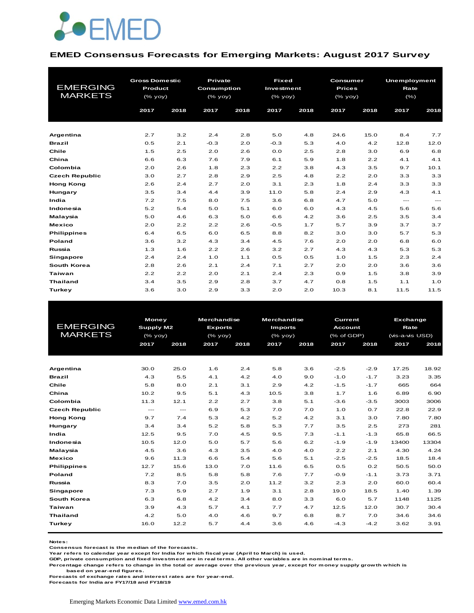

#### **EMED Consensus Forecasts for Emerging Markets: August 2017 Survey**

| <b>EMERGING</b><br><b>MARKETS</b> | <b>Gross Domestic</b><br>Product<br>$(%$ (% yoy) |      | Private<br>Consumption<br>(% yoy) |      | <b>Fixed</b><br>Investment<br>$(% \mathsf{Y}^{\prime }\mathsf{Y}^{\prime }\mathsf{Y}^{\prime })$ |      | Consumer<br><b>Prices</b><br>$(%$ (% yoy) |      | Unemployment<br>Rate<br>(% ) |       |  |
|-----------------------------------|--------------------------------------------------|------|-----------------------------------|------|--------------------------------------------------------------------------------------------------|------|-------------------------------------------|------|------------------------------|-------|--|
|                                   | 2017                                             | 2018 | 2017                              | 2018 | 2017                                                                                             | 2018 | 2017                                      | 2018 | 2017                         | 2018  |  |
| Argentina                         | 2.7                                              | 3.2  | 2.4                               | 2.8  | 5.0                                                                                              | 4.8  | 24.6                                      | 15.0 | 8.4                          | 7.7   |  |
| <b>Brazil</b>                     | 0.5                                              | 2.1  | $-0.3$                            | 2.0  | $-0.3$                                                                                           | 5.3  | 4.0                                       | 4.2  | 12.8                         | 12.0  |  |
| Chile                             | 1.5                                              | 2.5  | 2.0                               | 2.6  | O.O                                                                                              | 2.5  | 2.8                                       | 3.0  | 6.9                          | 6.8   |  |
| China                             | 6.6                                              | 6.3  | 7.6                               | 7.9  | 6.1                                                                                              | 5.9  | 1.8                                       | 2.2  | 4.1                          | 4.1   |  |
| Colombia                          | 2.0                                              | 2.6  | 1.8                               | 2.3  | 2.2                                                                                              | 3.8  | 4.3                                       | 3.5  | 9.7                          | 10.1  |  |
| <b>Czech Republic</b>             | 3.0                                              | 2.7  | 2.8                               | 2.9  | 2.5                                                                                              | 4.8  | 2.2                                       | 2.0  | 3.3                          | 3.3   |  |
| <b>Hong Kong</b>                  | 2.6                                              | 2.4  | 2.7                               | 2.0  | 3.1                                                                                              | 2.3  | 1.8                                       | 2.4  | 3.3                          | 3.3   |  |
| Hungary                           | 3.5                                              | 3.4  | 4.4                               | 3.9  | 11.0                                                                                             | 5.8  | 2.4                                       | 2.9  | 4.3                          | 4.1   |  |
| India                             | 7.2                                              | 7.5  | 8.0                               | 7.5  | 3.6                                                                                              | 6.8  | 4.7                                       | 5.0  | $---$                        | $---$ |  |
| Indonesia                         | 5.2                                              | 5.4  | 5.0                               | 5.1  | 6.0                                                                                              | 6.0  | 4.3                                       | 4.5  | 5.6                          | 5.6   |  |
| <b>Malaysia</b>                   | 5.0                                              | 4.6  | 6.3                               | 5.0  | 6.6                                                                                              | 4.2  | 3.6                                       | 2.5  | 3.5                          | 3.4   |  |
| <b>Mexico</b>                     | 2.0                                              | 2.2  | 2.2                               | 2.6  | $-0.5$                                                                                           | 1.7  | 5.7                                       | 3.9  | 3.7                          | 3.7   |  |
| <b>Philippines</b>                | 6.4                                              | 6.5  | 6.0                               | 6.5  | 8.8                                                                                              | 8.2  | 3.0                                       | 3.0  | 5.7                          | 5.3   |  |
| Poland                            | 3.6                                              | 3.2  | 4.3                               | 3.4  | 4.5                                                                                              | 7.6  | 2.0                                       | 2.0  | 6.8                          | 6.0   |  |
| Russia                            | 1.3                                              | 1.6  | 2.2                               | 2.6  | 3.2                                                                                              | 2.7  | 4.3                                       | 4.3  | 5.3                          | 5.3   |  |
| Singapore                         | 2.4                                              | 2.4  | 1.0                               | 1.1  | 0.5                                                                                              | 0.5  | 1.0                                       | 1.5  | 2.3                          | 2.4   |  |
| <b>South Korea</b>                | 2.8                                              | 2.6  | 2.1                               | 2.4  | 7.1                                                                                              | 2.7  | 2.0                                       | 2.0  | 3.6                          | 3.6   |  |
| Taiwan                            | 2.2                                              | 2.2  | 2.0                               | 2.1  | 2.4                                                                                              | 2.3  | 0.9                                       | 1.5  | 3.8                          | 3.9   |  |
| <b>Thailand</b>                   | 3.4                                              | 3.5  | 2.9                               | 2.8  | 3.7                                                                                              | 4.7  | 0.8                                       | 1.5  | 1.1                          | 1.0   |  |
| Turkey                            | 3.6                                              | 3.0  | 2.9                               | 3.3  | 2.0                                                                                              | 2.0  | 10.3                                      | 8.1  | 11.5                         | 11.5  |  |

|                       | <b>Money</b> |       | <b>Merchandise</b> |      | <b>Merchandise</b> |      | Current    |                        | <b>Exchange</b> |       |  |
|-----------------------|--------------|-------|--------------------|------|--------------------|------|------------|------------------------|-----------------|-------|--|
| <b>EMERGING</b>       | Supply M2    |       | <b>Exports</b>     |      | <b>Imports</b>     |      |            | Rate<br><b>Account</b> |                 |       |  |
| <b>MARKETS</b>        | $(%$ (% yoy) |       | $(%$ (% yoy)       |      | (% yoy)            |      | (% of GDP) |                        | (vis-a-vis USD) |       |  |
|                       | 2017         | 2018  | 2017               | 2018 | 2017               | 2018 | 2017       | 2018                   | 2017            | 2018  |  |
|                       |              |       |                    |      |                    |      |            |                        |                 |       |  |
| Argentina             | 30.0         | 25.0  | 1.6                | 2.4  | 5.8                | 3.6  | $-2.5$     | $-2.9$                 | 17.25           | 18.92 |  |
| <b>Brazil</b>         | 4.3          | 5.5   | 4.1                | 4.2  | 4.0                | 9.0  | $-1.0$     | $-1.7$                 | 3.23            | 3.35  |  |
| Chile                 | 5.8          | 8.0   | 2.1                | 3.1  | 2.9                | 4.2  | $-1.5$     | $-1.7$                 | 665             | 664   |  |
| China                 | 10.2         | 9.5   | 5.1                | 4.3  | 10.5               | 3.8  | 1.7        | 1.6                    | 6.89            | 6.90  |  |
| Colombia              | 11.3         | 12.1  | 2.2                | 2.7  | 3.8                | 5.1  | $-3.6$     | $-3.5$                 | 3003            | 3006  |  |
| <b>Czech Republic</b> | $---$        | $---$ | 6.9                | 5.3  | 7.0                | 7.0  | 1.0        | 0.7                    | 22.8            | 22.9  |  |
| <b>Hong Kong</b>      | 9.7          | 7.4   | 5.3                | 4.2  | 5.2                | 4.2  | 3.1        | 3.0                    | 7.80            | 7.80  |  |
| Hungary               | 3.4          | 3.4   | 5.2                | 5.8  | 5.3                | 7.7  | 3.5        | 2.5                    | 273             | 281   |  |
| India                 | 12.5         | 9.5   | 7.0                | 4.5  | 9.5                | 7.3  | $-1.1$     | $-1.3$                 | 65.8            | 66.5  |  |
| Indonesia             | 10.5         | 12.0  | 5.0                | 5.7  | 5.6                | 6.2  | $-1.9$     | $-1.9$                 | 13400           | 13304 |  |
| Malaysia              | 4.5          | 3.6   | 4.3                | 3.5  | 4.0                | 4.0  | 2.2        | 2.1                    | 4.30            | 4.24  |  |
| <b>Mexico</b>         | 9.6          | 11.3  | 6.6                | 5.4  | 5.6                | 5.1  | $-2.5$     | $-2.5$                 | 18.5            | 18.4  |  |
| <b>Philippines</b>    | 12.7         | 15.6  | 13.0               | 7.0  | 11.6               | 6.5  | 0.5        | 0.2                    | 50.5            | 50.0  |  |
| Poland                | 7.2          | 8.5   | 5.8                | 5.8  | 7.6                | 7.7  | $-0.9$     | $-1.1$                 | 3.73            | 3.71  |  |
| Russia                | 8.3          | 7.0   | 3.5                | 2.0  | 11.2               | 3.2  | 2.3        | 2.0                    | 60.0            | 60.4  |  |
| Singapore             | 7.3          | 5.9   | 2.7                | 1.9  | 3.1                | 2.8  | 19.0       | 18.5                   | 1.40            | 1.39  |  |
| <b>South Korea</b>    | 6.3          | 6.8   | 4.2                | 3.4  | 8.0                | 3.3  | 6.0        | 5.7                    | 1148            | 1125  |  |
| Taiwan                | 3.9          | 4.3   | 5.7                | 4.1  | 7.7                | 4.7  | 12.5       | 12.0                   | 30.7            | 30.4  |  |
| <b>Thailand</b>       | 4.2          | 5.0   | 4.0                | 4.6  | 9.7                | 6.8  | 8.7        | 7.0                    | 34.6            | 34.6  |  |
| Turkey                | 16.0         | 12.2  | 5.7                | 4.4  | 3.6                | 4.6  | $-4.3$     | $-4.2$                 | 3.62            | 3.91  |  |
|                       |              |       |                    |      |                    |      |            |                        |                 |       |  |

**Notes:** 

**Consensus forecast is the median of the forecasts.**

**Year refers to calendar year except for India for which fiscal year (April to March) is used.**

**GDP, private consumption and fixed investment are in real terms. All other variables are in nominal terms.**

**Percentage change refers to change in the total or average over the previous year, except for money supply growth which is based on year-end figures.**

**Forecasts of exchange rates and interest rates are for year-end.**

**Forecasts for India are FY17/18 and FY18/19**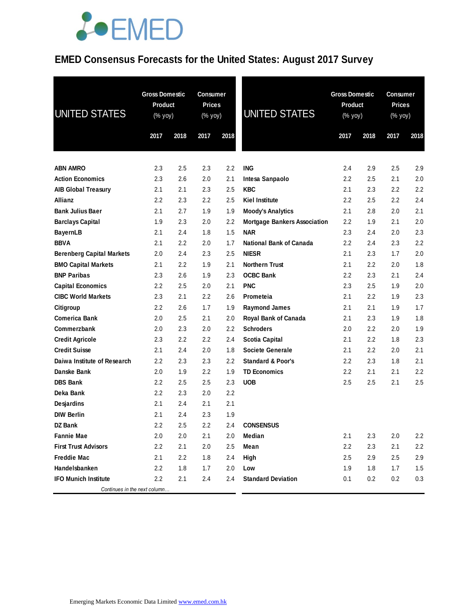# **JOEMED**

### **EMED Consensus Forecasts for the United States: August 2017 Survey**

| <b>UNITED STATES</b>             | <b>Gross Domestic</b><br>Product<br>$(\%$ yoy) |      | <b>Consumer</b><br><b>Prices</b><br>(% yoy) |      | <b>UNITED STATES</b>                | <b>Gross Domestic</b><br>Product<br>(% yoy) |         | Consumer<br><b>Prices</b><br>(% yoy) |      |
|----------------------------------|------------------------------------------------|------|---------------------------------------------|------|-------------------------------------|---------------------------------------------|---------|--------------------------------------|------|
|                                  | 2017                                           | 2018 | 2017                                        | 2018 |                                     | 2017                                        | 2018    | 2017                                 | 2018 |
|                                  |                                                |      |                                             |      |                                     |                                             |         |                                      |      |
| <b>ABN AMRO</b>                  | 2.3                                            | 2.5  | 2.3                                         | 2.2  | <b>ING</b>                          | 2.4                                         | 2.9     | 2.5                                  | 2.9  |
| <b>Action Economics</b>          | 2.3                                            | 2.6  | 2.0                                         | 2.1  | Intesa Sanpaolo                     | 2.2                                         | 2.5     | 2.1                                  | 2.0  |
| <b>AIB Global Treasury</b>       | 2.1                                            | 2.1  | 2.3                                         | 2.5  | <b>KBC</b>                          | 2.1                                         | 2.3     | 2.2                                  | 2.2  |
| Allianz                          | 2.2                                            | 2.3  | 2.2                                         | 2.5  | <b>Kiel Institute</b>               | 2.2                                         | 2.5     | 2.2                                  | 2.4  |
| <b>Bank Julius Baer</b>          | 2.1                                            | 2.7  | 1.9                                         | 1.9  | <b>Moody's Analytics</b>            | 2.1                                         | 2.8     | 2.0                                  | 2.1  |
| <b>Barclays Capital</b>          | 1.9                                            | 2.3  | 2.0                                         | 2.2  | <b>Mortgage Bankers Association</b> | $2.2\phantom{0}$                            | 1.9     | 2.1                                  | 2.0  |
| <b>BayernLB</b>                  | 2.1                                            | 2.4  | 1.8                                         | 1.5  | <b>NAR</b>                          | 2.3                                         | 2.4     | 2.0                                  | 2.3  |
| <b>BBVA</b>                      | 2.1                                            | 2.2  | 2.0                                         | 1.7  | <b>National Bank of Canada</b>      | 2.2                                         | 2.4     | 2.3                                  | 2.2  |
| <b>Berenberg Capital Markets</b> | 2.0                                            | 2.4  | 2.3                                         | 2.5  | <b>NIESR</b>                        | 2.1                                         | 2.3     | 1.7                                  | 2.0  |
| <b>BMO Capital Markets</b>       | 2.1                                            | 2.2  | 1.9                                         | 2.1  | <b>Northern Trust</b>               | 2.1                                         | 2.2     | 2.0                                  | 1.8  |
| <b>BNP Paribas</b>               | 2.3                                            | 2.6  | 1.9                                         | 2.3  | <b>OCBC Bank</b>                    | $2.2\phantom{0}$                            | 2.3     | 2.1                                  | 2.4  |
| <b>Capital Economics</b>         | 2.2                                            | 2.5  | 2.0                                         | 2.1  | <b>PNC</b>                          | 2.3                                         | 2.5     | 1.9                                  | 2.0  |
| <b>CIBC World Markets</b>        | 2.3                                            | 2.1  | 2.2                                         | 2.6  | Prometeia                           | 2.1                                         | 2.2     | 1.9                                  | 2.3  |
| Citigroup                        | 2.2                                            | 2.6  | 1.7                                         | 1.9  | <b>Raymond James</b>                | 2.1                                         | 2.1     | 1.9                                  | 1.7  |
| <b>Comerica Bank</b>             | 2.0                                            | 2.5  | 2.1                                         | 2.0  | Royal Bank of Canada                | 2.1                                         | 2.3     | 1.9                                  | 1.8  |
| Commerzbank                      | 2.0                                            | 2.3  | 2.0                                         | 2.2  | <b>Schroders</b>                    | 2.0                                         | 2.2     | 2.0                                  | 1.9  |
| <b>Credit Agricole</b>           | 2.3                                            | 2.2  | 2.2                                         | 2.4  | <b>Scotia Capital</b>               | 2.1                                         | 2.2     | 1.8                                  | 2.3  |
| <b>Credit Suisse</b>             | 2.1                                            | 2.4  | 2.0                                         | 1.8  | Societe Generale                    | 2.1                                         | $2.2\,$ | 2.0                                  | 2.1  |
| Daiwa Institute of Research      | 2.2                                            | 2.3  | 2.3                                         | 2.2  | <b>Standard &amp; Poor's</b>        | $2.2\phantom{0}$                            | 2.3     | 1.8                                  | 2.1  |
| Danske Bank                      | 2.0                                            | 1.9  | 2.2                                         | 1.9  | <b>TD Economics</b>                 | $2.2\phantom{0}$                            | 2.1     | 2.1                                  | 2.2  |
| <b>DBS Bank</b>                  | 2.2                                            | 2.5  | 2.5                                         | 2.3  | <b>UOB</b>                          | 2.5                                         | 2.5     | 2.1                                  | 2.5  |
| Deka Bank                        | 2.2                                            | 2.3  | 2.0                                         | 2.2  |                                     |                                             |         |                                      |      |
| Desjardins                       | 2.1                                            | 2.4  | 2.1                                         | 2.1  |                                     |                                             |         |                                      |      |
| <b>DIW Berlin</b>                | 2.1                                            | 2.4  | 2.3                                         | 1.9  |                                     |                                             |         |                                      |      |
| <b>DZ Bank</b>                   | 2.2                                            | 2.5  | 2.2                                         | 2.4  | <b>CONSENSUS</b>                    |                                             |         |                                      |      |
| <b>Fannie Mae</b>                | 2.0                                            | 2.0  | 2.1                                         | 2.0  | Median                              | 2.1                                         | 2.3     | 2.0                                  | 2.2  |
| <b>First Trust Advisors</b>      | 2.2                                            | 2.1  | 2.0                                         | 2.5  | Mean                                | 2.2                                         | 2.3     | 2.1                                  | 2.2  |
| <b>Freddie Mac</b>               | 2.1                                            | 2.2  | 1.8                                         | 2.4  | High                                | 2.5                                         | 2.9     | 2.5                                  | 2.9  |
| Handelsbanken                    | 2.2                                            | 1.8  | 1.7                                         | 2.0  | Low                                 | 1.9                                         | 1.8     | 1.7                                  | 1.5  |
| <b>IFO Munich Institute</b>      | 2.2                                            | 2.1  | 2.4                                         | 2.4  | <b>Standard Deviation</b>           | 0.1                                         | 0.2     | 0.2                                  | 0.3  |
| Continues in the next column     |                                                |      |                                             |      |                                     |                                             |         |                                      |      |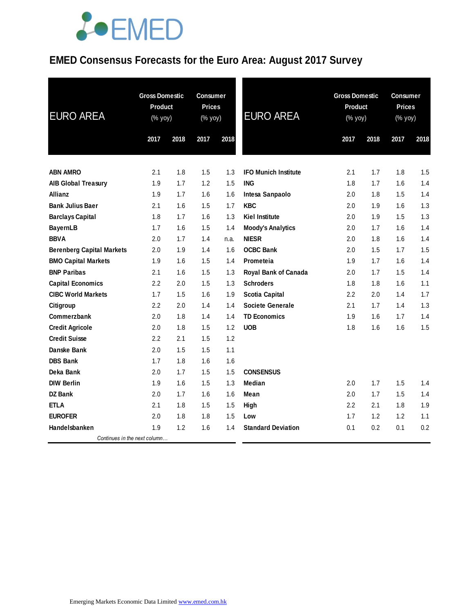### **JOEMED**

### **EMED Consensus Forecasts for the Euro Area: August 2017 Survey**

| <b>EURO AREA</b>                 | <b>Gross Domestic</b><br>Product<br>(% yoy) |      | <b>Consumer</b><br><b>Prices</b><br>(% yoy) |      | <b>EURO AREA</b>            |      | <b>Gross Domestic</b><br>Product<br>(% yoy) |      | <b>Consumer</b><br><b>Prices</b><br>(% yoy) |  |
|----------------------------------|---------------------------------------------|------|---------------------------------------------|------|-----------------------------|------|---------------------------------------------|------|---------------------------------------------|--|
|                                  | 2017                                        | 2018 | 2017                                        | 2018 |                             | 2017 | 2018                                        | 2017 | 2018                                        |  |
| <b>ABN AMRO</b>                  | 2.1                                         | 1.8  | 1.5                                         | 1.3  | <b>IFO Munich Institute</b> | 2.1  | 1.7                                         | 1.8  | 1.5                                         |  |
| <b>AIB Global Treasury</b>       | 1.9                                         | 1.7  | 1.2                                         | 1.5  | <b>ING</b>                  | 1.8  | 1.7                                         | 1.6  | 1.4                                         |  |
| <b>Allianz</b>                   | 1.9                                         | 1.7  | 1.6                                         | 1.6  | Intesa Sanpaolo             | 2.0  | 1.8                                         | 1.5  | 1.4                                         |  |
| <b>Bank Julius Baer</b>          | 2.1                                         | 1.6  | 1.5                                         | 1.7  | <b>KBC</b>                  | 2.0  | 1.9                                         | 1.6  | 1.3                                         |  |
| <b>Barclays Capital</b>          | 1.8                                         | 1.7  | 1.6                                         | 1.3  | <b>Kiel Institute</b>       | 2.0  | 1.9                                         | 1.5  | 1.3                                         |  |
| <b>BayernLB</b>                  | 1.7                                         | 1.6  | 1.5                                         | 1.4  | <b>Moody's Analytics</b>    | 2.0  | 1.7                                         | 1.6  | 1.4                                         |  |
| <b>BBVA</b>                      | 2.0                                         | 1.7  | 1.4                                         | n.a. | <b>NIESR</b>                | 2.0  | 1.8                                         | 1.6  | 1.4                                         |  |
| <b>Berenberg Capital Markets</b> | 2.0                                         | 1.9  | 1.4                                         | 1.6  | <b>OCBC Bank</b>            | 2.0  | 1.5                                         | 1.7  | 1.5                                         |  |
| <b>BMO Capital Markets</b>       | 1.9                                         | 1.6  | 1.5                                         | 1.4  | Prometeia                   | 1.9  | 1.7                                         | 1.6  | 1.4                                         |  |
| <b>BNP Paribas</b>               | 2.1                                         | 1.6  | 1.5                                         | 1.3  | Royal Bank of Canada        | 2.0  | 1.7                                         | 1.5  | 1.4                                         |  |
| <b>Capital Economics</b>         | 2.2                                         | 2.0  | 1.5                                         | 1.3  | <b>Schroders</b>            | 1.8  | 1.8                                         | 1.6  | 1.1                                         |  |
| <b>CIBC World Markets</b>        | 1.7                                         | 1.5  | 1.6                                         | 1.9  | <b>Scotia Capital</b>       | 2.2  | 2.0                                         | 1.4  | 1.7                                         |  |
| Citigroup                        | 2.2                                         | 2.0  | 1.4                                         | 1.4  | <b>Societe Generale</b>     | 2.1  | 1.7                                         | 1.4  | 1.3                                         |  |
| Commerzbank                      | 2.0                                         | 1.8  | 1.4                                         | 1.4  | <b>TD Economics</b>         | 1.9  | 1.6                                         | 1.7  | 1.4                                         |  |
| <b>Credit Agricole</b>           | 2.0                                         | 1.8  | 1.5                                         | 1.2  | <b>UOB</b>                  | 1.8  | 1.6                                         | 1.6  | 1.5                                         |  |
| <b>Credit Suisse</b>             | 2.2                                         | 2.1  | 1.5                                         | 1.2  |                             |      |                                             |      |                                             |  |
| Danske Bank                      | 2.0                                         | 1.5  | 1.5                                         | 1.1  |                             |      |                                             |      |                                             |  |
| <b>DBS Bank</b>                  | 1.7                                         | 1.8  | 1.6                                         | 1.6  |                             |      |                                             |      |                                             |  |
| Deka Bank                        | 2.0                                         | 1.7  | 1.5                                         | 1.5  | <b>CONSENSUS</b>            |      |                                             |      |                                             |  |
| <b>DIW Berlin</b>                | 1.9                                         | 1.6  | 1.5                                         | 1.3  | <b>Median</b>               | 2.0  | 1.7                                         | 1.5  | 1.4                                         |  |
| <b>DZ Bank</b>                   | 2.0                                         | 1.7  | 1.6                                         | 1.6  | Mean                        | 2.0  | 1.7                                         | 1.5  | 1.4                                         |  |
| <b>ETLA</b>                      | 2.1                                         | 1.8  | 1.5                                         | 1.5  | High                        | 2.2  | 2.1                                         | 1.8  | 1.9                                         |  |
| <b>EUROFER</b>                   | 2.0                                         | 1.8  | 1.8                                         | 1.5  | Low                         | 1.7  | 1.2                                         | 1.2  | 1.1                                         |  |
| Handelsbanken                    | 1.9                                         | 1.2  | 1.6                                         | 1.4  | <b>Standard Deviation</b>   | 0.1  | 0.2                                         | 0.1  | 0.2                                         |  |
| Continues in the next column     |                                             |      |                                             |      |                             |      |                                             |      |                                             |  |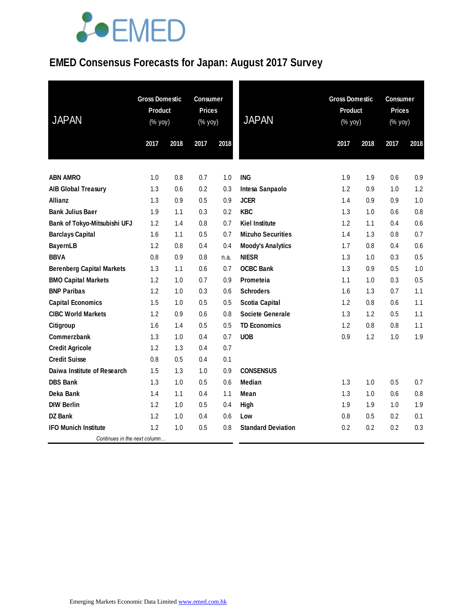# LOEMED

### **EMED Consensus Forecasts for Japan: August 2017 Survey**

| <b>JAPAN</b>                     | <b>Gross Domestic</b><br><b>Product</b><br>(% yoy) |      | <b>Consumer</b><br><b>Prices</b><br>(% yoy) |      | <b>JAPAN</b>              | <b>Gross Domestic</b><br><b>Product</b><br>(% yoy) |      | <b>Consumer</b><br><b>Prices</b><br>(% yoy) |      |
|----------------------------------|----------------------------------------------------|------|---------------------------------------------|------|---------------------------|----------------------------------------------------|------|---------------------------------------------|------|
|                                  | 2017                                               | 2018 | 2017                                        | 2018 |                           | 2017                                               | 2018 | 2017                                        | 2018 |
| <b>ABN AMRO</b>                  | 1.0                                                | 0.8  | 0.7                                         | 1.0  | <b>ING</b>                | 1.9                                                | 1.9  | 0.6                                         | 0.9  |
| <b>AIB Global Treasury</b>       | 1.3                                                | 0.6  | 0.2                                         | 0.3  | Intesa Sanpaolo           | 1.2                                                | 0.9  | 1.0                                         | 1.2  |
| Allianz                          | 1.3                                                | 0.9  | 0.5                                         | 0.9  | <b>JCER</b>               | 1.4                                                | 0.9  | 0.9                                         | 1.0  |
| <b>Bank Julius Baer</b>          | 1.9                                                | 1.1  | 0.3                                         | 0.2  | <b>KBC</b>                | 1.3                                                | 1.0  | 0.6                                         | 0.8  |
| Bank of Tokyo-Mitsubishi UFJ     | 1.2                                                | 1.4  | 0.8                                         | 0.7  | <b>Kiel Institute</b>     | 1.2                                                | 1.1  | 0.4                                         | 0.6  |
| <b>Barclays Capital</b>          | 1.6                                                | 1.1  | 0.5                                         | 0.7  | <b>Mizuho Securities</b>  | 1.4                                                | 1.3  | 0.8                                         | 0.7  |
| <b>BayernLB</b>                  | 1.2                                                | 0.8  | 0.4                                         | 0.4  | <b>Moody's Analytics</b>  | 1.7                                                | 0.8  | 0.4                                         | 0.6  |
| <b>BBVA</b>                      | 0.8                                                | 0.9  | 0.8                                         | n.a. | <b>NIESR</b>              | 1.3                                                | 1.0  | 0.3                                         | 0.5  |
| <b>Berenberg Capital Markets</b> | 1.3                                                | 1.1  | 0.6                                         | 0.7  | <b>OCBC Bank</b>          | 1.3                                                | 0.9  | 0.5                                         | 1.0  |
| <b>BMO Capital Markets</b>       | 1.2                                                | 1.0  | 0.7                                         | 0.9  | Prometeia                 | 1.1                                                | 1.0  | 0.3                                         | 0.5  |
| <b>BNP Paribas</b>               | 1.2                                                | 1.0  | 0.3                                         | 0.6  | <b>Schroders</b>          | 1.6                                                | 1.3  | 0.7                                         | 1.1  |
| <b>Capital Economics</b>         | 1.5                                                | 1.0  | 0.5                                         | 0.5  | <b>Scotia Capital</b>     | 1.2                                                | 0.8  | 0.6                                         | 1.1  |
| <b>CIBC World Markets</b>        | 1.2                                                | 0.9  | 0.6                                         | 0.8  | <b>Societe Generale</b>   | 1.3                                                | 1.2  | 0.5                                         | 1.1  |
| Citigroup                        | 1.6                                                | 1.4  | 0.5                                         | 0.5  | <b>TD Economics</b>       | 1.2                                                | 0.8  | 0.8                                         | 1.1  |
| Commerzbank                      | 1.3                                                | 1.0  | 0.4                                         | 0.7  | <b>UOB</b>                | 0.9                                                | 1.2  | 1.0                                         | 1.9  |
| <b>Credit Agricole</b>           | 1.2                                                | 1.3  | 0.4                                         | 0.7  |                           |                                                    |      |                                             |      |
| <b>Credit Suisse</b>             | 0.8                                                | 0.5  | 0.4                                         | 0.1  |                           |                                                    |      |                                             |      |
| Daiwa Institute of Research      | 1.5                                                | 1.3  | 1.0                                         | 0.9  | <b>CONSENSUS</b>          |                                                    |      |                                             |      |
| <b>DBS Bank</b>                  | 1.3                                                | 1.0  | 0.5                                         | 0.6  | <b>Median</b>             | 1.3                                                | 1.0  | 0.5                                         | 0.7  |
| Deka Bank                        | 1.4                                                | 1.1  | 0.4                                         | 1.1  | Mean                      | 1.3                                                | 1.0  | 0.6                                         | 0.8  |
| <b>DIW Berlin</b>                | 1.2                                                | 1.0  | 0.5                                         | 0.4  | High                      | 1.9                                                | 1.9  | 1.0                                         | 1.9  |
| <b>DZ</b> Bank                   | 1.2                                                | 1.0  | 0.4                                         | 0.6  | Low                       | 0.8                                                | 0.5  | 0.2                                         | 0.1  |
| <b>IFO Munich Institute</b>      | 1.2                                                | 1.0  | 0.5                                         | 0.8  | <b>Standard Deviation</b> | 0.2                                                | 0.2  | 0.2                                         | 0.3  |
| Continues in the next column     |                                                    |      |                                             |      |                           |                                                    |      |                                             |      |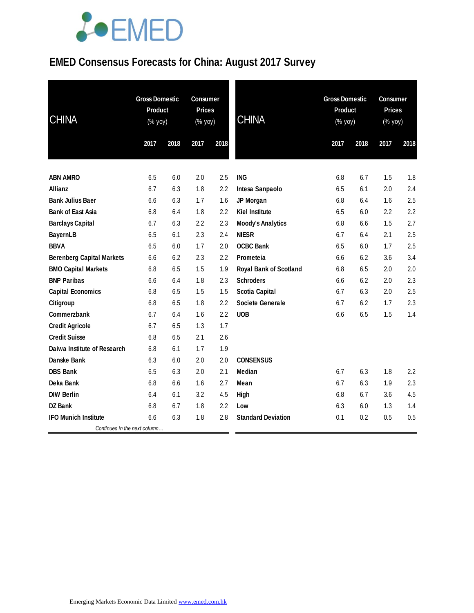# **JOEMED**

### **EMED Consensus Forecasts for China: August 2017 Survey**

| <b>CHINA</b>                     | <b>Gross Domestic</b><br>Product<br>(% yoy) |      | <b>Consumer</b><br><b>Prices</b><br>(% yoy) |         | <b>CHINA</b>                  | <b>Gross Domestic</b><br>Product<br>(% yoy) |      | Consumer<br><b>Prices</b><br>(% yoy) |      |
|----------------------------------|---------------------------------------------|------|---------------------------------------------|---------|-------------------------------|---------------------------------------------|------|--------------------------------------|------|
|                                  | 2017                                        | 2018 | 2017                                        | 2018    |                               | 2017                                        | 2018 | 2017                                 | 2018 |
| <b>ABN AMRO</b>                  | 6.5                                         | 6.0  | 2.0                                         | 2.5     | <b>ING</b>                    | 6.8                                         | 6.7  | 1.5                                  | 1.8  |
| Allianz                          | 6.7                                         | 6.3  | 1.8                                         | 2.2     | Intesa Sanpaolo               | 6.5                                         | 6.1  | 2.0                                  | 2.4  |
| <b>Bank Julius Baer</b>          | 6.6                                         | 6.3  | 1.7                                         | 1.6     | JP Morgan                     | 6.8                                         | 6.4  | 1.6                                  | 2.5  |
| <b>Bank of East Asia</b>         | 6.8                                         | 6.4  | 1.8                                         | $2.2\,$ | <b>Kiel Institute</b>         | 6.5                                         | 6.0  | 2.2                                  | 2.2  |
| <b>Barclays Capital</b>          | 6.7                                         | 6.3  | 2.2                                         | 2.3     | <b>Moody's Analytics</b>      | 6.8                                         | 6.6  | 1.5                                  | 2.7  |
| <b>BayernLB</b>                  | 6.5                                         | 6.1  | 2.3                                         | 2.4     | <b>NIESR</b>                  | 6.7                                         | 6.4  | 2.1                                  | 2.5  |
| <b>BBVA</b>                      | 6.5                                         | 6.0  | 1.7                                         | 2.0     | <b>OCBC Bank</b>              | 6.5                                         | 6.0  | 1.7                                  | 2.5  |
| <b>Berenberg Capital Markets</b> | 6.6                                         | 6.2  | 2.3                                         | 2.2     | Prometeia                     | 6.6                                         | 6.2  | 3.6                                  | 3.4  |
| <b>BMO Capital Markets</b>       | 6.8                                         | 6.5  | 1.5                                         | 1.9     | <b>Royal Bank of Scotland</b> | 6.8                                         | 6.5  | 2.0                                  | 2.0  |
| <b>BNP Paribas</b>               | 6.6                                         | 6.4  | 1.8                                         | 2.3     | <b>Schroders</b>              | 6.6                                         | 6.2  | 2.0                                  | 2.3  |
| <b>Capital Economics</b>         | 6.8                                         | 6.5  | 1.5                                         | 1.5     | <b>Scotia Capital</b>         | 6.7                                         | 6.3  | 2.0                                  | 2.5  |
| Citigroup                        | 6.8                                         | 6.5  | 1.8                                         | 2.2     | <b>Societe Generale</b>       | 6.7                                         | 6.2  | 1.7                                  | 2.3  |
| Commerzbank                      | 6.7                                         | 6.4  | 1.6                                         | 2.2     | <b>UOB</b>                    | 6.6                                         | 6.5  | 1.5                                  | 1.4  |
| <b>Credit Agricole</b>           | 6.7                                         | 6.5  | 1.3                                         | 1.7     |                               |                                             |      |                                      |      |
| <b>Credit Suisse</b>             | 6.8                                         | 6.5  | 2.1                                         | 2.6     |                               |                                             |      |                                      |      |
| Daiwa Institute of Research      | 6.8                                         | 6.1  | 1.7                                         | 1.9     |                               |                                             |      |                                      |      |
| Danske Bank                      | 6.3                                         | 6.0  | 2.0                                         | 2.0     | <b>CONSENSUS</b>              |                                             |      |                                      |      |
| <b>DBS Bank</b>                  | 6.5                                         | 6.3  | 2.0                                         | 2.1     | Median                        | 6.7                                         | 6.3  | 1.8                                  | 2.2  |
| Deka Bank                        | 6.8                                         | 6.6  | 1.6                                         | 2.7     | Mean                          | 6.7                                         | 6.3  | 1.9                                  | 2.3  |
| <b>DIW Berlin</b>                | 6.4                                         | 6.1  | 3.2                                         | 4.5     | High                          | 6.8                                         | 6.7  | 3.6                                  | 4.5  |
| <b>DZ Bank</b>                   | 6.8                                         | 6.7  | 1.8                                         | 2.2     | Low                           | 6.3                                         | 6.0  | 1.3                                  | 1.4  |
| <b>IFO Munich Institute</b>      | 6.6                                         | 6.3  | 1.8                                         | 2.8     | <b>Standard Deviation</b>     | 0.1                                         | 0.2  | 0.5                                  | 0.5  |
| Continues in the next column     |                                             |      |                                             |         |                               |                                             |      |                                      |      |